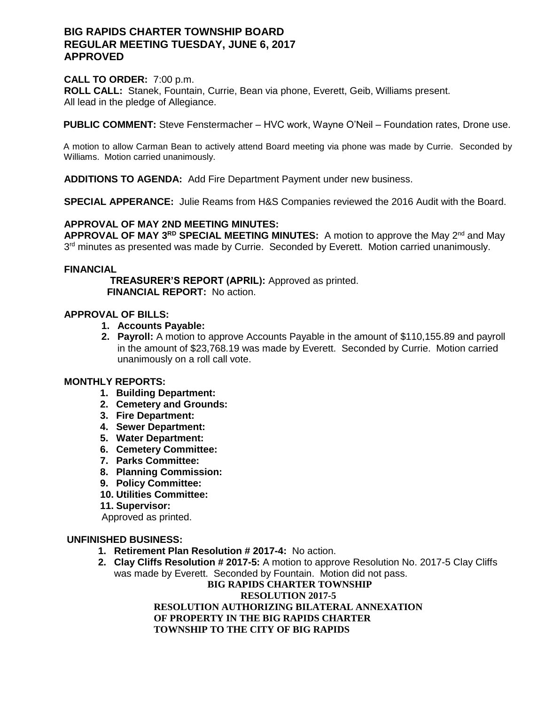# **BIG RAPIDS CHARTER TOWNSHIP BOARD REGULAR MEETING TUESDAY, JUNE 6, 2017 APPROVED**

### **CALL TO ORDER:** 7:00 p.m.

**ROLL CALL:** Stanek, Fountain, Currie, Bean via phone, Everett, Geib, Williams present. All lead in the pledge of Allegiance.

**PUBLIC COMMENT:** Steve Fenstermacher – HVC work, Wayne O'Neil – Foundation rates, Drone use.

A motion to allow Carman Bean to actively attend Board meeting via phone was made by Currie. Seconded by Williams. Motion carried unanimously.

**ADDITIONS TO AGENDA:** Add Fire Department Payment under new business.

**SPECIAL APPERANCE:** Julie Reams from H&S Companies reviewed the 2016 Audit with the Board.

## **APPROVAL OF MAY 2ND MEETING MINUTES:**

**APPROVAL OF MAY 3RD SPECIAL MEETING MINUTES:** A motion to approve the May 2nd and May 3<sup>rd</sup> minutes as presented was made by Currie. Seconded by Everett. Motion carried unanimously.

### **FINANCIAL**

 **TREASURER'S REPORT (APRIL):** Approved as printed.  **FINANCIAL REPORT:** No action.

## **APPROVAL OF BILLS:**

- **1. Accounts Payable:**
- **2. Payroll:** A motion to approve Accounts Payable in the amount of \$110,155.89 and payroll in the amount of \$23,768.19 was made by Everett. Seconded by Currie. Motion carried unanimously on a roll call vote.

# **MONTHLY REPORTS:**

- **1. Building Department:**
- **2. Cemetery and Grounds:**
- **3. Fire Department:**
- **4. Sewer Department:**
- **5. Water Department:**
- **6. Cemetery Committee:**
- **7. Parks Committee:**
- **8. Planning Commission:**
- **9. Policy Committee:**
- **10. Utilities Committee:**
- **11. Supervisor:**

Approved as printed.

### **UNFINISHED BUSINESS:**

- **1. Retirement Plan Resolution # 2017-4:** No action.
- **2. Clay Cliffs Resolution # 2017-5:** A motion to approve Resolution No. 2017-5 Clay Cliffs was made by Everett. Seconded by Fountain. Motion did not pass.

**BIG RAPIDS CHARTER TOWNSHIP RESOLUTION 2017-5 RESOLUTION AUTHORIZING BILATERAL ANNEXATION OF PROPERTY IN THE BIG RAPIDS CHARTER TOWNSHIP TO THE CITY OF BIG RAPIDS**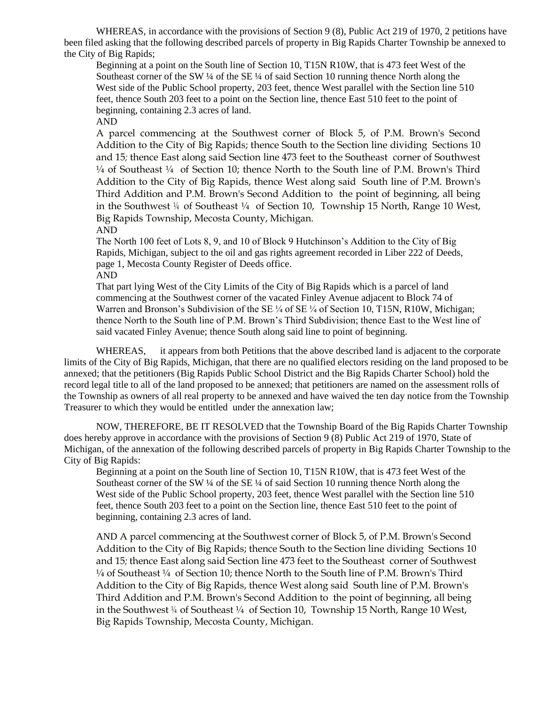WHEREAS, in accordance with the provisions of Section 9 (8), Public Act 219 of 1970, 2 petitions have been filed asking that the following described parcels of property in Big Rapids Charter Township be annexed to the City of Big Rapids;

Beginning at a point on the South line of Section 10, T15N R10W, that is 473 feet West of the Southeast corner of the SW ¼ of the SE ¼ of said Section 10 running thence North along the West side of the Public School property, 203 feet, thence West parallel with the Section line 510 feet, thence South 203 feet to a point on the Section line, thence East 510 feet to the point of beginning, containing 2.3 acres of land. AND

A parcel commencing at the Southwest corner of Block 5, of P.M. Brown's Second Addition to the City of Big Rapids; thence South to the Section line dividing Sections 10 and 15*;* thence East along said Section line 473 feet to the Southeast corner of Southwest  $\frac{1}{4}$  of Southeast  $\frac{1}{4}$  of Section 10; thence North to the South line of P.M. Brown's Third Addition to the City of Big Rapids, thence West along said South line of P.M. Brown's Third Addition and P.M. Brown's Second Addition to the point of beginning, all being in the Southwest  $\frac{1}{4}$  of Southeast  $\frac{1}{4}$  of Section 10, Township 15 North, Range 10 West, Big Rapids Township, Mecosta County, Michigan.

AND

The North 100 feet of Lots 8, 9, and 10 of Block 9 Hutchinson's Addition to the City of Big Rapids, Michigan, subject to the oil and gas rights agreement recorded in Liber 222 of Deeds, page 1, Mecosta County Register of Deeds office.

AND

That part lying West of the City Limits of the City of Big Rapids which is a parcel of land commencing at the Southwest corner of the vacated Finley Avenue adjacent to Block 74 of Warren and Bronson's Subdivision of the SE ¼ of SE ¼ of Section 10, T15N, R10W, Michigan; thence North to the South line of P.M. Brown's Third Subdivision; thence East to the West line of said vacated Finley Avenue; thence South along said line to point of beginning.

WHEREAS, it appears from both Petitions that the above described land is adjacent to the corporate limits of the City of Big Rapids, Michigan, that there are no qualified electors residing on the land proposed to be annexed; that the petitioners (Big Rapids Public School District and the Big Rapids Charter School) hold the record legal title to all of the land proposed to be annexed; that petitioners are named on the assessment rolls of the Township as owners of all real property to be annexed and have waived the ten day notice from the Township Treasurer to which they would be entitled under the annexation law;

NOW, THEREFORE, BE IT RESOLVED that the Township Board of the Big Rapids Charter Township does hereby approve in accordance with the provisions of Section 9 (8) Public Act 219 of 1970, State of Michigan, of the annexation of the following described parcels of property in Big Rapids Charter Township to the City of Big Rapids:

Beginning at a point on the South line of Section 10, T15N R10W, that is 473 feet West of the Southeast corner of the SW ¼ of the SE ¼ of said Section 10 running thence North along the West side of the Public School property, 203 feet, thence West parallel with the Section line 510 feet, thence South 203 feet to a point on the Section line, thence East 510 feet to the point of beginning, containing 2.3 acres of land.

AND A parcel commencing at the Southwest corner of Block 5, of P.M. Brown's Second Addition to the City of Big Rapids; thence South to the Section line dividing Sections 10 and 15*;* thence East along said Section line 473 feet to the Southeast corner of Southwest ¼ of Southeast ¼ of Section 10; thence North to the South line of P.M. Brown's Third Addition to the City of Big Rapids, thence West along said South line of P.M. Brown's Third Addition and P.M. Brown's Second Addition to the point of beginning, all being in the Southwest  $\frac{1}{4}$  of Southeast  $\frac{1}{4}$  of Section 10, Township 15 North, Range 10 West, Big Rapids Township, Mecosta County, Michigan.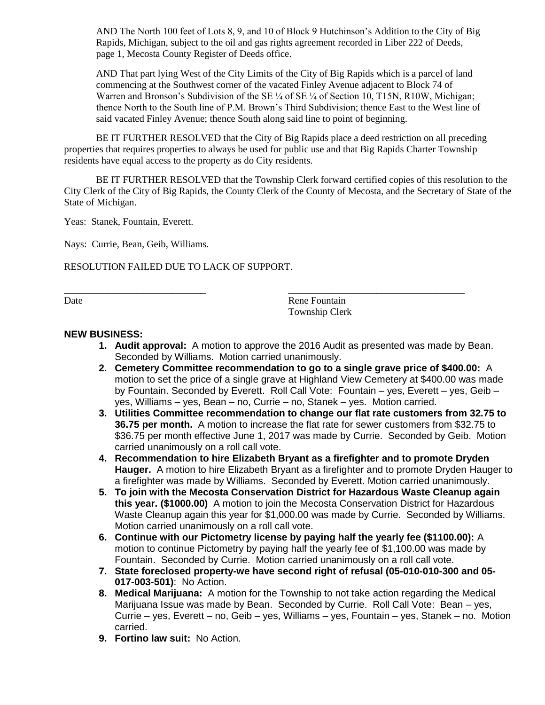AND The North 100 feet of Lots 8, 9, and 10 of Block 9 Hutchinson's Addition to the City of Big Rapids, Michigan, subject to the oil and gas rights agreement recorded in Liber 222 of Deeds, page 1, Mecosta County Register of Deeds office.

AND That part lying West of the City Limits of the City of Big Rapids which is a parcel of land commencing at the Southwest corner of the vacated Finley Avenue adjacent to Block 74 of Warren and Bronson's Subdivision of the SE ¼ of SE ¼ of Section 10, T15N, R10W, Michigan; thence North to the South line of P.M. Brown's Third Subdivision; thence East to the West line of said vacated Finley Avenue; thence South along said line to point of beginning.

BE IT FURTHER RESOLVED that the City of Big Rapids place a deed restriction on all preceding properties that requires properties to always be used for public use and that Big Rapids Charter Township residents have equal access to the property as do City residents.

\_\_\_\_\_\_\_\_\_\_\_\_\_\_\_\_\_\_\_\_\_\_\_\_\_\_\_\_\_ \_\_\_\_\_\_\_\_\_\_\_\_\_\_\_\_\_\_\_\_\_\_\_\_\_\_\_\_\_\_\_\_\_\_\_\_

BE IT FURTHER RESOLVED that the Township Clerk forward certified copies of this resolution to the City Clerk of the City of Big Rapids, the County Clerk of the County of Mecosta, and the Secretary of State of the State of Michigan.

Yeas: Stanek, Fountain, Everett.

Nays: Currie, Bean, Geib, Williams.

RESOLUTION FAILED DUE TO LACK OF SUPPORT.

Date Rene Fountain Township Clerk

#### **NEW BUSINESS:**

- **1. Audit approval:** A motion to approve the 2016 Audit as presented was made by Bean. Seconded by Williams. Motion carried unanimously.
- **2. Cemetery Committee recommendation to go to a single grave price of \$400.00:** A motion to set the price of a single grave at Highland View Cemetery at \$400.00 was made by Fountain. Seconded by Everett. Roll Call Vote: Fountain – yes, Everett – yes, Geib – yes, Williams – yes, Bean – no, Currie – no, Stanek – yes. Motion carried.
- **3. Utilities Committee recommendation to change our flat rate customers from 32.75 to 36.75 per month.** A motion to increase the flat rate for sewer customers from \$32.75 to \$36.75 per month effective June 1, 2017 was made by Currie. Seconded by Geib. Motion carried unanimously on a roll call vote.
- **4. Recommendation to hire Elizabeth Bryant as a firefighter and to promote Dryden Hauger.** A motion to hire Elizabeth Bryant as a firefighter and to promote Dryden Hauger to a firefighter was made by Williams. Seconded by Everett. Motion carried unanimously.
- **5. To join with the Mecosta Conservation District for Hazardous Waste Cleanup again this year. (\$1000.00)** A motion to join the Mecosta Conservation District for Hazardous Waste Cleanup again this year for \$1,000.00 was made by Currie. Seconded by Williams. Motion carried unanimously on a roll call vote.
- **6. Continue with our Pictometry license by paying half the yearly fee (\$1100.00):** A motion to continue Pictometry by paying half the yearly fee of \$1,100.00 was made by Fountain. Seconded by Currie. Motion carried unanimously on a roll call vote.
- **7. State foreclosed property-we have second right of refusal (05-010-010-300 and 05- 017-003-501)**: No Action.
- **8. Medical Marijuana:** A motion for the Township to not take action regarding the Medical Marijuana Issue was made by Bean. Seconded by Currie. Roll Call Vote: Bean – yes, Currie – yes, Everett – no, Geib – yes, Williams – yes, Fountain – yes, Stanek – no. Motion carried.
- **9. Fortino law suit:** No Action.